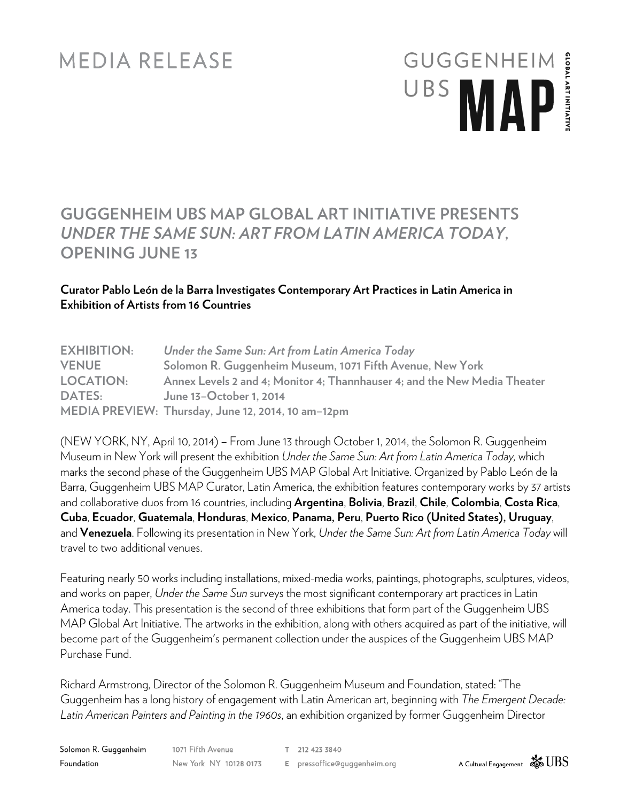## **MEDIA RELEASE**

## **GUGGENHEIM GLOBAL ARTINITIATI** UBS MAP

### **GUGGENHEIM UBS MAP GLOBAL ART INITIATIVE PRESENTS** *UNDER THE SAME SUN: ART FROM LATIN AMERICA TODAY***, OPENING JUNE 13**

#### **Curator Pablo León de la Barra Investigates Contemporary Art Practices in Latin America in Exhibition of Artists from 16 Countries**

| <b>EXHIBITION:</b> | Under the Same Sun: Art from Latin America Today                          |
|--------------------|---------------------------------------------------------------------------|
| <b>VENUE</b>       | Solomon R. Guggenheim Museum, 1071 Fifth Avenue, New York                 |
| <b>LOCATION:</b>   | Annex Levels 2 and 4; Monitor 4; Thannhauser 4; and the New Media Theater |
| <b>DATES:</b>      | June 13-October 1, 2014                                                   |
|                    | MEDIA PREVIEW: Thursday, June 12, 2014, 10 am-12pm                        |

(NEW YORK, NY, April 10, 2014) – From June 13 through October 1, 2014, the Solomon R. Guggenheim Museum in New York will present the exhibition *Under the Same Sun: Art from Latin America Today,* which marks the second phase of the Guggenheim UBS MAP Global Art Initiative. Organized by Pablo León de la Barra, Guggenheim UBS MAP Curator, Latin America, the exhibition features contemporary works by 37 artists and collaborative duos from 16 countries, including **Argentina**, **Bolivia**, **Brazil**, **Chile**, **Colombia**, **Costa Rica**, **Cuba**, **Ecuador**, **Guatemala**, **Honduras**, **Mexico**, **Panama, Peru**, **Puerto Rico (United States), Uruguay**, and **Venezuela**. Following its presentation in New York, *Under the Same Sun: Art from Latin America Today* will travel to two additional venues.

Featuring nearly 50 works including installations, mixed-media works, paintings, photographs, sculptures, videos, and works on paper, *Under the Same Sun* surveys the most significant contemporary art practices in Latin America today. This presentation is the second of three exhibitions that form part of the Guggenheim UBS MAP Global Art Initiative. The artworks in the exhibition, along with others acquired as part of the initiative, will become part of the Guggenheim's permanent collection under the auspices of the Guggenheim UBS MAP Purchase Fund.

Richard Armstrong, Director of the Solomon R. Guggenheim Museum and Foundation, stated: "The Guggenheim has a long history of engagement with Latin American art, beginning with *The Emergent Decade: Latin American Painters and Painting in the 1960s*, an exhibition organized by former Guggenheim Director

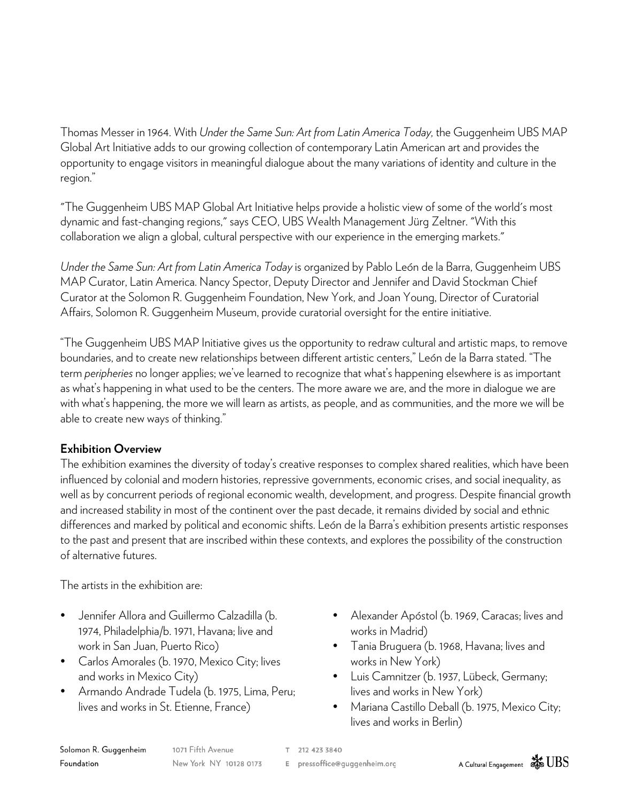Thomas Messer in 1964. With *Under the Same Sun: Art from Latin America Today,* the Guggenheim UBS MAP Global Art Initiative adds to our growing collection of contemporary Latin American art and provides the opportunity to engage visitors in meaningful dialogue about the many variations of identity and culture in the region."

"The Guggenheim UBS MAP Global Art Initiative helps provide a holistic view of some of the world's most dynamic and fast-changing regions," says CEO, UBS Wealth Management Jürg Zeltner. "With this collaboration we align a global, cultural perspective with our experience in the emerging markets."

*Under the Same Sun: Art from Latin America Today* is organized by Pablo León de la Barra, Guggenheim UBS MAP Curator, Latin America. Nancy Spector, Deputy Director and Jennifer and David Stockman Chief Curator at the Solomon R. Guggenheim Foundation, New York, and Joan Young, Director of Curatorial Affairs, Solomon R. Guggenheim Museum, provide curatorial oversight for the entire initiative.

"The Guggenheim UBS MAP Initiative gives us the opportunity to redraw cultural and artistic maps, to remove boundaries, and to create new relationships between different artistic centers," León de la Barra stated. "The term *peripheries* no longer applies; we've learned to recognize that what's happening elsewhere is as important as what's happening in what used to be the centers. The more aware we are, and the more in dialogue we are with what's happening, the more we will learn as artists, as people, and as communities, and the more we will be able to create new ways of thinking."

#### **Exhibition Overview**

The exhibition examines the diversity of today's creative responses to complex shared realities, which have been influenced by colonial and modern histories, repressive governments, economic crises, and social inequality, as well as by concurrent periods of regional economic wealth, development, and progress. Despite financial growth and increased stability in most of the continent over the past decade, it remains divided by social and ethnic differences and marked by political and economic shifts. León de la Barra's exhibition presents artistic responses to the past and present that are inscribed within these contexts, and explores the possibility of the construction of alternative futures.

The artists in the exhibition are:

- Jennifer Allora and Guillermo Calzadilla (b. 1974, Philadelphia/b. 1971, Havana; live and work in San Juan, Puerto Rico)
- Carlos Amorales (b. 1970, Mexico City; lives and works in Mexico City)
- Armando Andrade Tudela (b. 1975, Lima, Peru; lives and works in St. Etienne, France)
- Alexander Apóstol (b. 1969, Caracas; lives and works in Madrid)
- Tania Bruguera (b. 1968, Havana; lives and works in New York)
- Luis Camnitzer (b. 1937, Lübeck, Germany; lives and works in New York)
- Mariana Castillo Deball (b. 1975, Mexico City; lives and works in Berlin)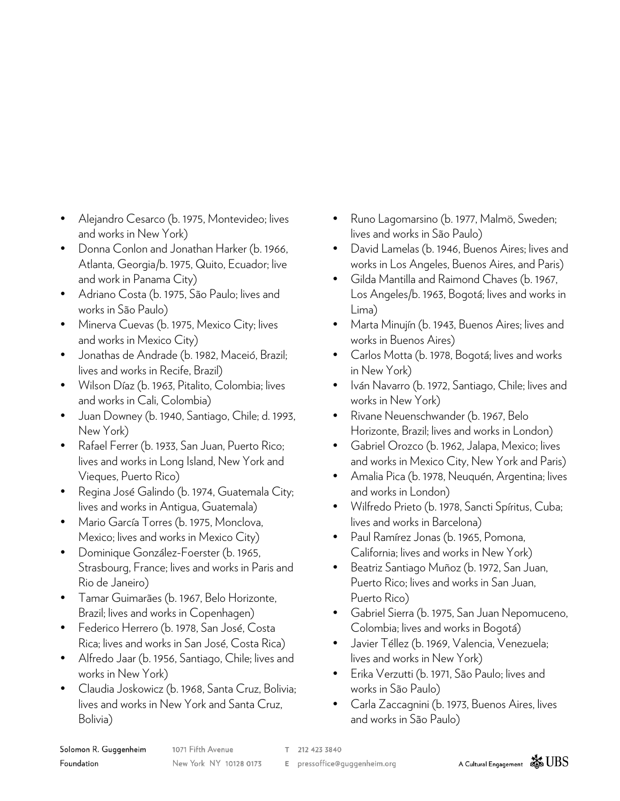- Alejandro Cesarco (b. 1975, Montevideo; lives and works in New York)
- Donna Conlon and Jonathan Harker (b. 1966, Atlanta, Georgia/b. 1975, Quito, Ecuador; live and work in Panama City)
- Adriano Costa (b. 1975, São Paulo; lives and works in São Paulo)
- Minerva Cuevas (b. 1975, Mexico City; lives and works in Mexico City)
- Jonathas de Andrade (b. 1982, Maceió, Brazil; lives and works in Recife, Brazil)
- Wilson Díaz (b. 1963, Pitalito, Colombia; lives and works in Cali, Colombia)
- Juan Downey (b. 1940, Santiago, Chile; d. 1993, New York)
- Rafael Ferrer (b. 1933, San Juan, Puerto Rico; lives and works in Long Island, New York and Vieques, Puerto Rico)
- Regina José Galindo (b. 1974, Guatemala City; lives and works in Antigua, Guatemala)
- Mario García Torres (b. 1975, Monclova, Mexico; lives and works in Mexico City)
- Dominique González-Foerster (b. 1965, Strasbourg, France; lives and works in Paris and Rio de Janeiro)
- Tamar Guimarães (b. 1967, Belo Horizonte, Brazil; lives and works in Copenhagen)
- Federico Herrero (b. 1978, San José, Costa Rica; lives and works in San José, Costa Rica)
- Alfredo Jaar (b. 1956, Santiago, Chile; lives and works in New York)
- Claudia Joskowicz (b. 1968, Santa Cruz, Bolivia; lives and works in New York and Santa Cruz, Bolivia)
- Runo Lagomarsino (b. 1977, Malmö, Sweden; lives and works in São Paulo)
- David Lamelas (b. 1946, Buenos Aires; lives and works in Los Angeles, Buenos Aires, and Paris)
- Gilda Mantilla and Raimond Chaves (b. 1967, Los Angeles/b. 1963, Bogotá; lives and works in Lima)
- Marta Minujín (b. 1943, Buenos Aires; lives and works in Buenos Aires)
- Carlos Motta (b. 1978, Bogotá; lives and works in New York)
- Iván Navarro (b. 1972, Santiago, Chile; lives and works in New York)
- Rivane Neuenschwander (b. 1967, Belo Horizonte, Brazil; lives and works in London)
- Gabriel Orozco (b. 1962, Jalapa, Mexico; lives and works in Mexico City, New York and Paris)
- Amalia Pica (b. 1978, Neuquén, Argentina; lives and works in London)
- Wilfredo Prieto (b. 1978, Sancti Spíritus, Cuba; lives and works in Barcelona)
- Paul Ramírez Jonas (b. 1965, Pomona, California; lives and works in New York)
- Beatriz Santiago Muñoz (b. 1972, San Juan, Puerto Rico; lives and works in San Juan, Puerto Rico)
- Gabriel Sierra (b. 1975, San Juan Nepomuceno, Colombia; lives and works in Bogotá)
- Javier Téllez (b. 1969, Valencia, Venezuela; lives and works in New York)
- Erika Verzutti (b. 1971, São Paulo; lives and works in São Paulo)
- Carla Zaccagnini (b. 1973, Buenos Aires, lives and works in São Paulo)

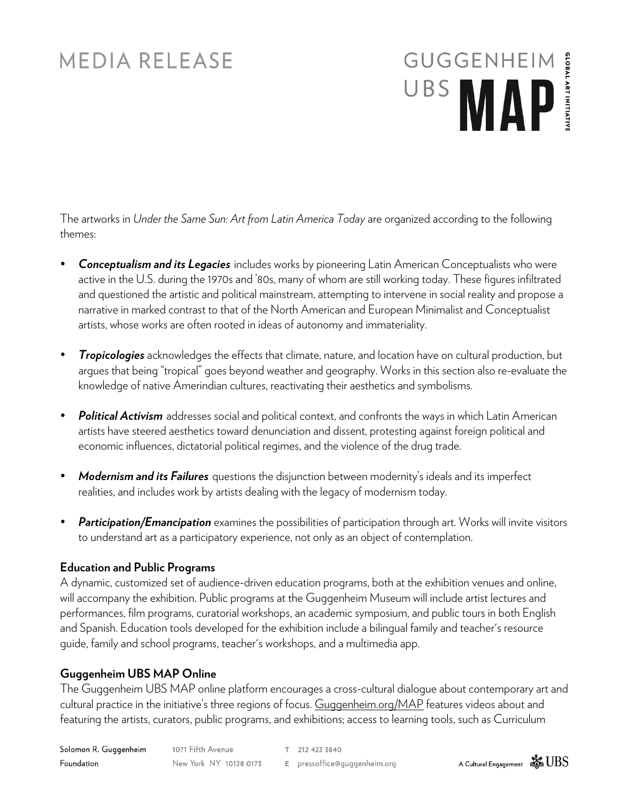## **MEDIA RELEASE**

# GUGGENHEIM **GLOBAL ART INITIATI**

The artworks in *Under the Same Sun: Art from Latin America Today* are organized according to the following themes:

- *Conceptualism and its Legacies* includes works by pioneering Latin American Conceptualists who were active in the U.S. during the 1970s and '80s, many of whom are still working today. These figures infiltrated and questioned the artistic and political mainstream, attempting to intervene in social reality and propose a narrative in marked contrast to that of the North American and European Minimalist and Conceptualist artists, whose works are often rooted in ideas of autonomy and immateriality.
- *Tropicologies* acknowledges the effects that climate, nature, and location have on cultural production, but argues that being "tropical" goes beyond weather and geography. Works in this section also re-evaluate the knowledge of native Amerindian cultures, reactivating their aesthetics and symbolisms.
- *Political Activism* addresses social and political context, and confronts the ways in which Latin American artists have steered aesthetics toward denunciation and dissent, protesting against foreign political and economic influences, dictatorial political regimes, and the violence of the drug trade.
- *Modernism and its Failures* questions the disjunction between modernity's ideals and its imperfect realities, and includes work by artists dealing with the legacy of modernism today.
- *Participation/Emancipation* examines the possibilities of participation through art. Works will invite visitors to understand art as a participatory experience, not only as an object of contemplation.

#### **Education and Public Programs**

A dynamic, customized set of audience-driven education programs, both at the exhibition venues and online, will accompany the exhibition. Public programs at the Guggenheim Museum will include artist lectures and performances, film programs, curatorial workshops, an academic symposium, and public tours in both English and Spanish. Education tools developed for the exhibition include a bilingual family and teacher's resource guide, family and school programs, teacher's workshops, and a multimedia app.

#### **Guggenheim UBS MAP Online**

The Guggenheim UBS MAP online platform encourages a cross-cultural dialogue about contemporary art and cultural practice in the initiative's three regions of focus. Guggenheim.org/MAP features videos about and featuring the artists, curators, public programs, and exhibitions; access to learning tools, such as Curriculum

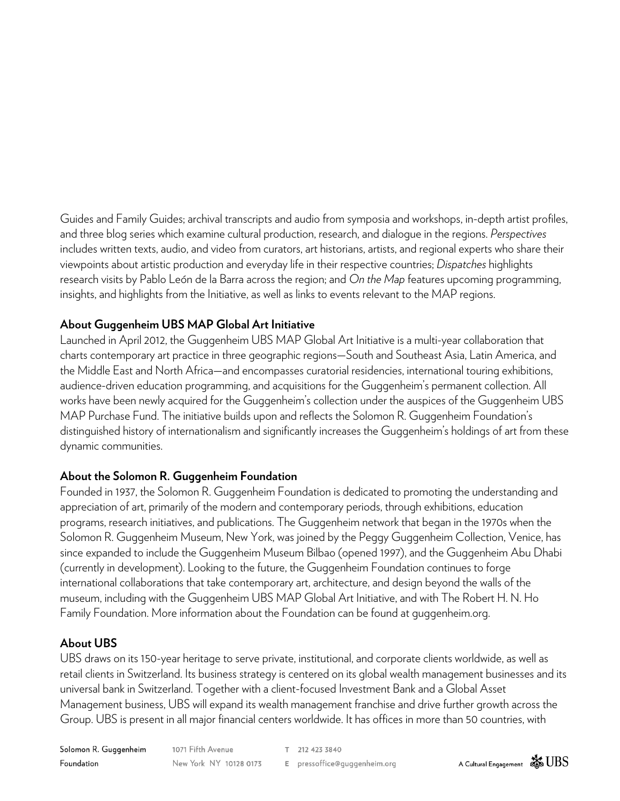Guides and Family Guides; archival transcripts and audio from symposia and workshops, in-depth artist profiles, and three blog series which examine cultural production, research, and dialogue in the regions. *Perspectives* includes written texts, audio, and video from curators, art historians, artists, and regional experts who share their viewpoints about artistic production and everyday life in their respective countries; *Dispatches* highlights research visits by Pablo León de la Barra across the region; and *On the Map* features upcoming programming, insights, and highlights from the Initiative, as well as links to events relevant to the MAP regions.

#### **About Guggenheim UBS MAP Global Art Initiative**

Launched in April 2012, the Guggenheim UBS MAP Global Art Initiative is a multi-year collaboration that charts contemporary art practice in three geographic regions—South and Southeast Asia, Latin America, and the Middle East and North Africa—and encompasses curatorial residencies, international touring exhibitions, audience-driven education programming, and acquisitions for the Guggenheim's permanent collection. All works have been newly acquired for the Guggenheim's collection under the auspices of the Guggenheim UBS MAP Purchase Fund. The initiative builds upon and reflects the Solomon R. Guggenheim Foundation's distinguished history of internationalism and significantly increases the Guggenheim's holdings of art from these dynamic communities.

#### **About the Solomon R. Guggenheim Foundation**

Founded in 1937, the Solomon R. Guggenheim Foundation is dedicated to promoting the understanding and appreciation of art, primarily of the modern and contemporary periods, through exhibitions, education programs, research initiatives, and publications. The Guggenheim network that began in the 1970s when the Solomon R. Guggenheim Museum, New York, was joined by the Peggy Guggenheim Collection, Venice, has since expanded to include the Guggenheim Museum Bilbao (opened 1997), and the Guggenheim Abu Dhabi (currently in development). Looking to the future, the Guggenheim Foundation continues to forge international collaborations that take contemporary art, architecture, and design beyond the walls of the museum, including with the Guggenheim UBS MAP Global Art Initiative, and with The Robert H. N. Ho Family Foundation. More information about the Foundation can be found at guggenheim.org.

#### **About UBS**

UBS draws on its 150-year heritage to serve private, institutional, and corporate clients worldwide, as well as retail clients in Switzerland. Its business strategy is centered on its global wealth management businesses and its universal bank in Switzerland. Together with a client-focused Investment Bank and a Global Asset Management business, UBS will expand its wealth management franchise and drive further growth across the Group. UBS is present in all major financial centers worldwide. It has offices in more than 50 countries, with

1071 Fifth Avenue Solomon R. Guggenheim T 212 423 3840 Foundation New York NY 10128 0173 E pressoffice@guggenheim.org

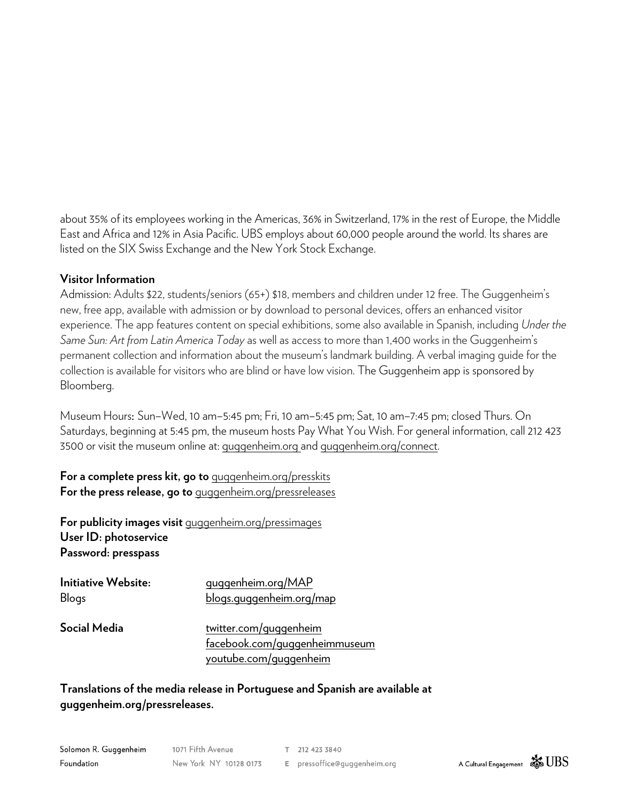about 35% of its employees working in the Americas, 36% in Switzerland, 17% in the rest of Europe, the Middle East and Africa and 12% in Asia Pacific. UBS employs about 60,000 people around the world. Its shares are listed on the SIX Swiss Exchange and the New York Stock Exchange.

#### **Visitor Information**

Admission: Adults \$22, students/seniors (65+) \$18, members and children under 12 free. The Guggenheim's new, free app, available with admission or by download to personal devices, offers an enhanced visitor experience. The app features content on special exhibitions, some also available in Spanish, including *Under the Same Sun: Art from Latin America Today* as well as access to more than 1,400 works in the Guggenheim's permanent collection and information about the museum's landmark building. A verbal imaging guide for the collection is available for visitors who are blind or have low vision. The Guggenheim app is sponsored by Bloomberg.

Museum Hours: Sun–Wed, 10 am–5:45 pm; Fri, 10 am–5:45 pm; Sat, 10 am–7:45 pm; closed Thurs. On Saturdays, beginning at 5:45 pm, the museum hosts Pay What You Wish. For general information, call 212 423 3500 or visit the museum online at: guggenheim.org and guggenheim.org/connect.

**For a complete press kit, go to** guggenheim.org/presskits **For the press release, go to** guggenheim.org/pressreleases

**For publicity images visit** guggenheim.org/pressimages **User ID: photoservice Password: presspass**

| <b>Initiative Website:</b><br>Blogs | quqqenheim.org/MAP<br>blogs.guggenheim.org/map          |
|-------------------------------------|---------------------------------------------------------|
| Social Media                        | twitter.com/guggenheim<br>facebook.com/quqqenheimmuseum |
|                                     | youtube.com/guggenheim                                  |

**Translations of the media release in Portuguese and Spanish are available at guggenheim.org/pressreleases.**